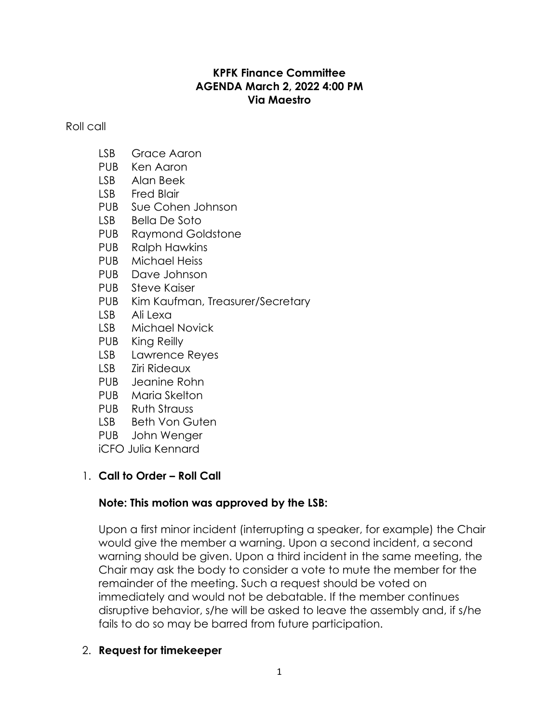## **KPFK Finance Committee AGENDA March 2, 2022 4:00 PM Via Maestro**

Roll call

- LSB Grace Aaron
- PUB Ken Aaron
- LSB Alan Beek
- LSB Fred Blair
- PUB Sue Cohen Johnson
- LSB Bella De Soto
- PUB Raymond Goldstone
- PUB Ralph Hawkins
- PUB Michael Heiss
- PUB Dave Johnson
- PUB Steve Kaiser
- PUB Kim Kaufman, Treasurer/Secretary
- LSB Ali Lexa
- LSB Michael Novick
- PUB King Reilly
- LSB Lawrence Reyes
- LSB Ziri Rideaux
- PUB Jeanine Rohn
- PUB Maria Skelton
- PUB Ruth Strauss
- LSB Beth Von Guten
- PUB John Wenger
- iCFO Julia Kennard

# 1. **Call to Order – Roll Call**

# **Note: This motion was approved by the LSB:**

Upon a first minor incident (interrupting a speaker, for example) the Chair would give the member a warning. Upon a second incident, a second warning should be given. Upon a third incident in the same meeting, the Chair may ask the body to consider a vote to mute the member for the remainder of the meeting. Such a request should be voted on immediately and would not be debatable. If the member continues disruptive behavior, s/he will be asked to leave the assembly and, if s/he fails to do so may be barred from future participation.

## 2. **Request for timekeeper**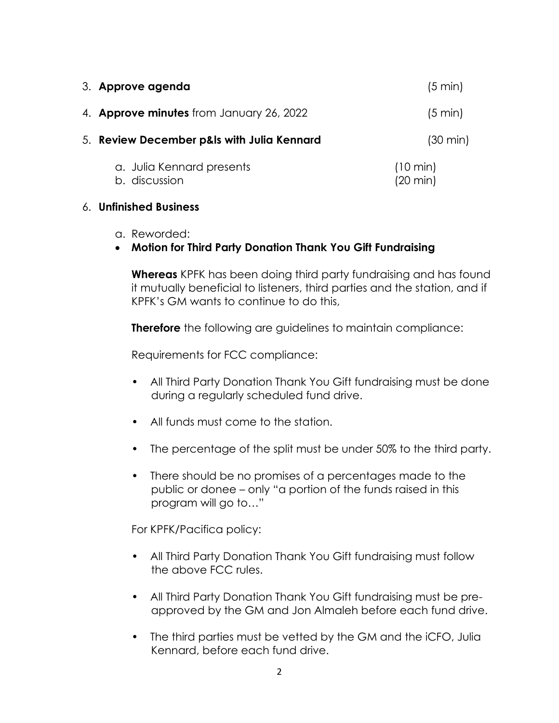| 3. Approve agenda                               | (5 min)                                  |
|-------------------------------------------------|------------------------------------------|
| 4. <b>Approve minutes</b> from January 26, 2022 | (5 min)                                  |
| 5. Review December p&ls with Julia Kennard      | $(30 \text{ min})$                       |
| a. Julia Kennard presents<br>b. discussion      | $(10 \text{ min})$<br>$(20 \text{ min})$ |

#### 6. **Unfinished Business**

- a. Reworded:
- **Motion for Third Party Donation Thank You Gift Fundraising**

**Whereas** KPFK has been doing third party fundraising and has found it mutually beneficial to listeners, third parties and the station, and if KPFK's GM wants to continue to do this,

**Therefore** the following are guidelines to maintain compliance:

Requirements for FCC compliance:

- All Third Party Donation Thank You Gift fundraising must be done during a regularly scheduled fund drive.
- All funds must come to the station.
- The percentage of the split must be under 50% to the third party.
- There should be no promises of a percentages made to the public or donee – only "a portion of the funds raised in this program will go to…"

For KPFK/Pacifica policy:

- All Third Party Donation Thank You Gift fundraising must follow the above FCC rules.
- All Third Party Donation Thank You Gift fundraising must be preapproved by the GM and Jon Almaleh before each fund drive.
- The third parties must be vetted by the GM and the iCFO, Julia Kennard, before each fund drive.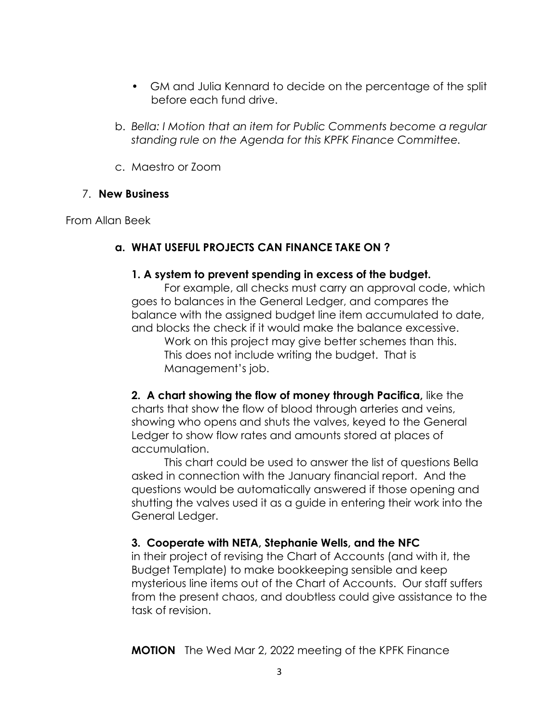- GM and Julia Kennard to decide on the percentage of the split before each fund drive.
- b. *Bella: I Motion that an item for Public Comments become a regular standing rule on the Agenda for this KPFK Finance Committee.*
- c. Maestro or Zoom

## 7. **New Business**

From Allan Beek

## **a. WHAT USEFUL PROJECTS CAN FINANCE TAKE ON ?**

#### **1. A system to prevent spending in excess of the budget.**

For example, all checks must carry an approval code, which goes to balances in the General Ledger, and compares the balance with the assigned budget line item accumulated to date, and blocks the check if it would make the balance excessive.

Work on this project may give better schemes than this. This does not include writing the budget. That is Management's job.

**2. A chart showing the flow of money through Pacifica,** like the charts that show the flow of blood through arteries and veins, showing who opens and shuts the valves, keyed to the General Ledger to show flow rates and amounts stored at places of accumulation.

This chart could be used to answer the list of questions Bella asked in connection with the January financial report. And the questions would be automatically answered if those opening and shutting the valves used it as a guide in entering their work into the General Ledger.

## **3. Cooperate with NETA, Stephanie Wells, and the NFC**

in their project of revising the Chart of Accounts (and with it, the Budget Template) to make bookkeeping sensible and keep mysterious line items out of the Chart of Accounts. Our staff suffers from the present chaos, and doubtless could give assistance to the task of revision.

**MOTION** The Wed Mar 2, 2022 meeting of the KPFK Finance